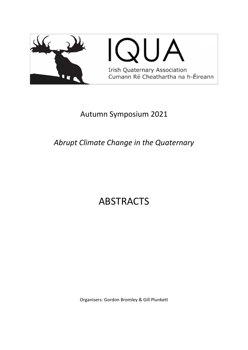

## Autumn Symposium 2021

# *Abrupt Climate Change in the Quaternary*

# ABSTRACTS

Organisers: Gordon Bromley & Gill Plunkett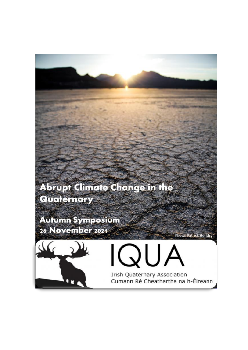

**Irish Quaternary Association** Cumann Ré Cheathartha na h-Éireann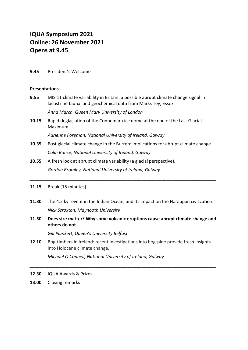## **IQUA Symposium 2021 Online: 26 November 2021 Opens at 9.45**

**9.45** President's Welcome

#### **Presentations**

**9.55** MIS 11 climate variability in Britain: a possible abrupt climate change signal in lacustrine faunal and geochemical data from Marks Tey, Essex.

*Anna March, Queen Mary University of London* 

**10.15** Rapid deglaciation of the Connemara ice dome at the end of the Last Glacial Maximum.

*Adrienne Foreman, National University of Ireland, Galway* 

- **10.35** Post glacial climate change in the Burren: implications for abrupt climate change. *Colin Bunce, National University of Ireland, Galway*
- **10.55** A fresh look at abrupt climate variability (a glacial perspective). *Gordon Bromley, National University of Ireland, Galway*

#### **11.15** Break (15 minutes)

**11.30** The 4.2 kyr event in the Indian Ocean, and its impact on the Harappan civilization. *Nick Scroxton, Maynooth University* 

*\_\_\_\_\_\_\_\_\_\_\_\_\_\_\_\_\_\_\_\_\_\_\_\_\_\_\_\_\_\_\_\_\_\_\_\_\_\_\_\_\_\_\_\_\_\_\_\_\_\_\_\_\_\_\_\_\_\_\_\_\_\_\_\_\_\_\_\_\_\_\_\_\_\_\_*

*\_\_\_\_\_\_\_\_\_\_\_\_\_\_\_\_\_\_\_\_\_\_\_\_\_\_\_\_\_\_\_\_\_\_\_\_\_\_\_\_\_\_\_\_\_\_\_\_\_\_\_\_\_\_\_\_\_\_\_\_\_\_\_\_\_\_\_\_\_\_\_\_\_\_\_*

**11.50 Does size matter? Why some volcanic eruptions cause abrupt climate change and others do not** 

*Gill Plunkett, Queen's University Belfast* 

**12.10** Bog-timbers in Ireland: recent investigations into bog-pine provide fresh insights into Holocene climate change.

*\_\_\_\_\_\_\_\_\_\_\_\_\_\_\_\_\_\_\_\_\_\_\_\_\_\_\_\_\_\_\_\_\_\_\_\_\_\_\_\_\_\_\_\_\_\_\_\_\_\_\_\_\_\_\_\_\_\_\_\_\_\_\_\_\_\_\_\_\_\_\_\_\_\_\_*

*Michael O'Connell, National University of Ireland, Galway* 

- **12.30** IQUA Awards & Prizes
- **13.00** Closing remarks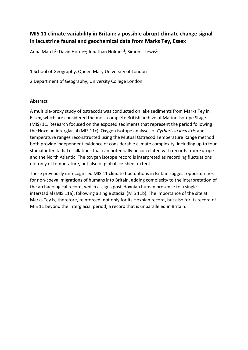## **MIS 11 climate variability in Britain: a possible abrupt climate change signal in lacustrine faunal and geochemical data from Marks Tey, Essex**

Anna March<sup>1</sup>; David Horne<sup>1</sup>; Jonathan Holmes<sup>2</sup>; Simon L Lewis<sup>1</sup>

1 School of Geography, Queen Mary University of London

2 Department of Geography, University College London

#### **Abstract**

A multiple-proxy study of ostracods was conducted on lake sediments from Marks Tey in Essex, which are considered the most complete British archive of Marine Isotope Stage (MIS) 11. Research focused on the exposed sediments that represent the period following the Hoxnian interglacial (MIS 11c). Oxygen isotope analyses of *Cytherissa lacustris* and temperature ranges reconstructed using the Mutual Ostracod Temperature Range method both provide independent evidence of considerable climate complexity, including up to four stadial-interstadial oscillations that can potentially be correlated with records from Europe and the North Atlantic. The oxygen isotope record is interpreted as recording fluctuations not only of temperature, but also of global ice-sheet extent.

These previously unrecognised MIS 11 climate fluctuations in Britain suggest opportunities for non-coeval migrations of humans into Britain, adding complexity to the interpretation of the archaeological record, which assigns post-Hoxnian human presence to a single interstadial (MIS 11a), following a single stadial (MIS 11b). The importance of the site at Marks Tey is, therefore, reinforced, not only for its Hoxnian record, but also for its record of MIS 11 beyond the interglacial period, a record that is unparalleled in Britain.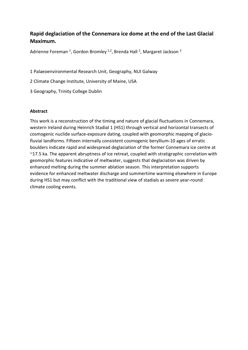## **Rapid deglaciation of the Connemara ice dome at the end of the Last Glacial Maximum.**

Adrienne Foreman <sup>1</sup>, Gordon Bromley <sup>1,2</sup>, Brenda Hall <sup>2</sup>, Margaret Jackson <sup>3</sup>

1 Palaeoenvironmental Research Unit, Geography, NUI Galway

- 2 Climate Change Institute, University of Maine, USA
- 3 Geography, Trinity College Dublin

#### **Abstract**

This work is a reconstruction of the timing and nature of glacial fluctuations in Connemara, western Ireland during Heinrich Stadial 1 (HS1) through vertical and horizontal transects of cosmogenic nuclide surface-exposure dating, coupled with geomorphic mapping of glaciofluvial landforms. Fifteen internally consistent cosmogenic beryllium-10 ages of erratic boulders indicate rapid and widespread deglaciation of the former Connemara ice centre at ~17.5 ka. The apparent abruptness of ice retreat, coupled with stratigraphic correlation with geomorphic features indicative of meltwater, suggests that deglaciation was driven by enhanced melting during the summer ablation season. This interpretation supports evidence for enhanced meltwater discharge and summertime warming elsewhere in Europe during HS1 but may conflict with the traditional view of stadials as severe year-round climate cooling events.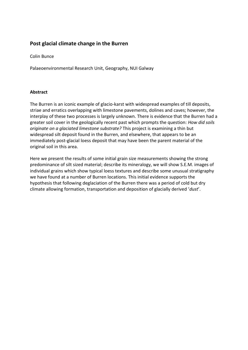### **Post glacial climate change in the Burren**

Colin Bunce

Palaeoenvironmental Research Unit, Geography, NUI Galway

#### **Abstract**

The Burren is an iconic example of glacio-karst with widespread examples of till deposits, striae and erratics overlapping with limestone pavements, dolines and caves; however, the interplay of these two processes is largely unknown. There is evidence that the Burren had a greater soil cover in the geologically recent past which prompts the question: *How did soils originate on a glaciated limestone substrate?* This project is examining a thin but widespread silt deposit found in the Burren, and elsewhere, that appears to be an immediately post-glacial loess deposit that may have been the parent material of the original soil in this area.

Here we present the results of some initial grain size measurements showing the strong predominance of silt sized material; describe its mineralogy, we will show S.E.M. images of individual grains which show typical loess textures and describe some unusual stratigraphy we have found at a number of Burren locations. This initial evidence supports the hypothesis that following deglaciation of the Burren there was a period of cold but dry climate allowing formation, transportation and deposition of glacially derived '*dust*'.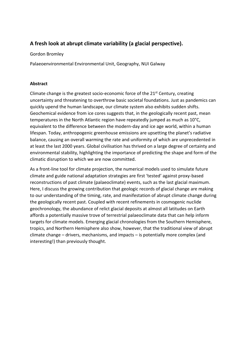## **A fresh look at abrupt climate variability (a glacial perspective).**

#### Gordon Bromley

Palaeoenvironmental Environmental Unit, Geography, NUI Galway

#### **Abstract**

Climate change is the greatest socio-economic force of the  $21<sup>st</sup>$  Century, creating uncertainty and threatening to overthrow basic societal foundations. Just as pandemics can quickly upend the human landscape, our climate system also exhibits sudden shifts. Geochemical evidence from ice cores suggests that, in the geologically recent past, mean temperatures in the North Atlantic region have repeatedly jumped as much as 10°C, equivalent to the difference between the modern-day and ice age world, within a human lifespan. Today, anthropogenic greenhouse emissions are upsetting the planet's radiative balance, causing an overall warming the rate and uniformity of which are unprecedented in at least the last 2000 years. Global civilisation has thrived on a large degree of certainty and environmental stability, highlighting the importance of predicting the shape and form of the climatic disruption to which we are now committed.

As a front-line tool for climate projection, the numerical models used to simulate future climate and guide national adaptation strategies are first 'tested' against proxy-based reconstructions of past climate (palaeoclimate) events, such as the last glacial maximum. Here, I discuss the growing contribution that geologic records of glacial change are making to our understanding of the timing, rate, and manifestation of abrupt climate change during the geologically recent past. Coupled with recent refinements in cosmogenic nuclide geochronology, the abundance of relict glacial deposits at almost all latitudes on Earth affords a potentially massive trove of terrestrial palaeoclimate data that can help inform targets for climate models. Emerging glacial chronologies from the Southern Hemisphere, tropics, and Northern Hemisphere also show, however, that the traditional view of abrupt climate change – drivers, mechanisms, and impacts – is potentially more complex (and interesting!) than previously thought.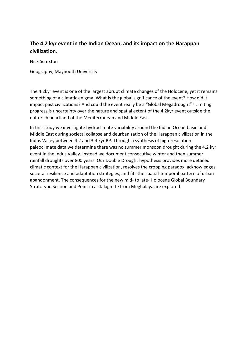## **The 4.2 kyr event in the Indian Ocean, and its impact on the Harappan civilization**.

Nick Scroxton

Geography, Maynooth University

The 4.2kyr event is one of the largest abrupt climate changes of the Holocene, yet it remains something of a climatic enigma. What is the global significance of the event? How did it impact past civilizations? And could the event really be a "Global Megadrought"? Limiting progress is uncertainty over the nature and spatial extent of the 4.2kyr event outside the data-rich heartland of the Mediterranean and Middle East.

In this study we investigate hydroclimate variability around the Indian Ocean basin and Middle East during societal collapse and deurbanization of the Harappan civilization in the Indus Valley between 4.2 and 3.4 kyr BP. Through a synthesis of high-resolution paleoclimate data we determine there was no summer monsoon drought during the 4.2 kyr event in the Indus Valley. Instead we document consecutive winter and then summer rainfall droughts over 800 years. Our Double Drought hypothesis provides more detailed climatic context for the Harappan civilization, resolves the cropping paradox, acknowledges societal resilience and adaptation strategies, and fits the spatial-temporal pattern of urban abandonment. The consequences for the new mid- to late- Holocene Global Boundary Stratotype Section and Point in a stalagmite from Meghalaya are explored.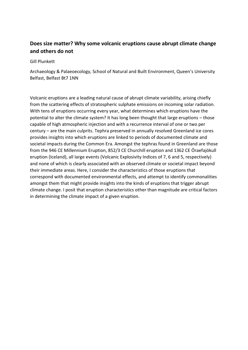## **Does size matter? Why some volcanic eruptions cause abrupt climate change and others do not**

Gill Plunkett

Archaeology & Palaeoecology, School of Natural and Built Environment, Queen's University Belfast, Belfast Bt7 1NN

Volcanic eruptions are a leading natural cause of abrupt climate variability, arising chiefly from the scattering effects of stratospheric sulphate emissions on incoming solar radiation. With tens of eruptions occurring every year, what determines which eruptions have the potential to alter the climate system? It has long been thought that large eruptions – those capable of high atmospheric injection and with a recurrence interval of one or two per century – are the main culprits. Tephra preserved in annually resolved Greenland ice cores provides insights into which eruptions are linked to periods of documented climate and societal impacts during the Common Era. Amongst the tephras found in Greenland are those from the 946 CE Millennium Eruption, 852/3 CE Churchill eruption and 1362 CE Öraefajökull eruption (Iceland), all large events (Volcanic Explosivity Indices of 7, 6 and 5, respectively) and none of which is clearly associated with an observed climate or societal impact beyond their immediate areas. Here, I consider the characteristics of those eruptions that correspond with documented environmental effects, and attempt to identify commonalities amongst them that might provide insights into the kinds of eruptions that trigger abrupt climate change. I posit that eruption characteristics other than magnitude are critical factors in determining the climate impact of a given eruption.